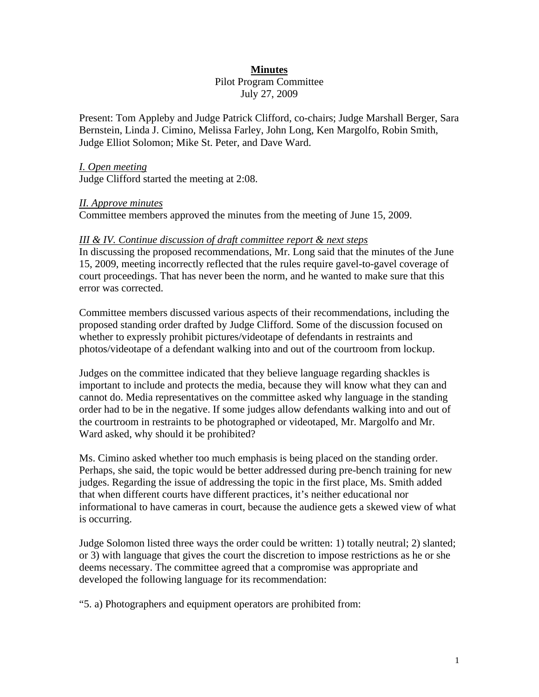# **Minutes**

Pilot Program Committee July 27, 2009

Present: Tom Appleby and Judge Patrick Clifford, co-chairs; Judge Marshall Berger, Sara Bernstein, Linda J. Cimino, Melissa Farley, John Long, Ken Margolfo, Robin Smith, Judge Elliot Solomon; Mike St. Peter, and Dave Ward.

### *I. Open meeting*

Judge Clifford started the meeting at 2:08.

### *II. Approve minutes*

Committee members approved the minutes from the meeting of June 15, 2009.

### *III & IV. Continue discussion of draft committee report & next steps*

In discussing the proposed recommendations, Mr. Long said that the minutes of the June 15, 2009, meeting incorrectly reflected that the rules require gavel-to-gavel coverage of court proceedings. That has never been the norm, and he wanted to make sure that this error was corrected.

Committee members discussed various aspects of their recommendations, including the proposed standing order drafted by Judge Clifford. Some of the discussion focused on whether to expressly prohibit pictures/videotape of defendants in restraints and photos/videotape of a defendant walking into and out of the courtroom from lockup.

Judges on the committee indicated that they believe language regarding shackles is important to include and protects the media, because they will know what they can and cannot do. Media representatives on the committee asked why language in the standing order had to be in the negative. If some judges allow defendants walking into and out of the courtroom in restraints to be photographed or videotaped, Mr. Margolfo and Mr. Ward asked, why should it be prohibited?

Ms. Cimino asked whether too much emphasis is being placed on the standing order. Perhaps, she said, the topic would be better addressed during pre-bench training for new judges. Regarding the issue of addressing the topic in the first place, Ms. Smith added that when different courts have different practices, it's neither educational nor informational to have cameras in court, because the audience gets a skewed view of what is occurring.

Judge Solomon listed three ways the order could be written: 1) totally neutral; 2) slanted; or 3) with language that gives the court the discretion to impose restrictions as he or she deems necessary. The committee agreed that a compromise was appropriate and developed the following language for its recommendation:

"5. a) Photographers and equipment operators are prohibited from: